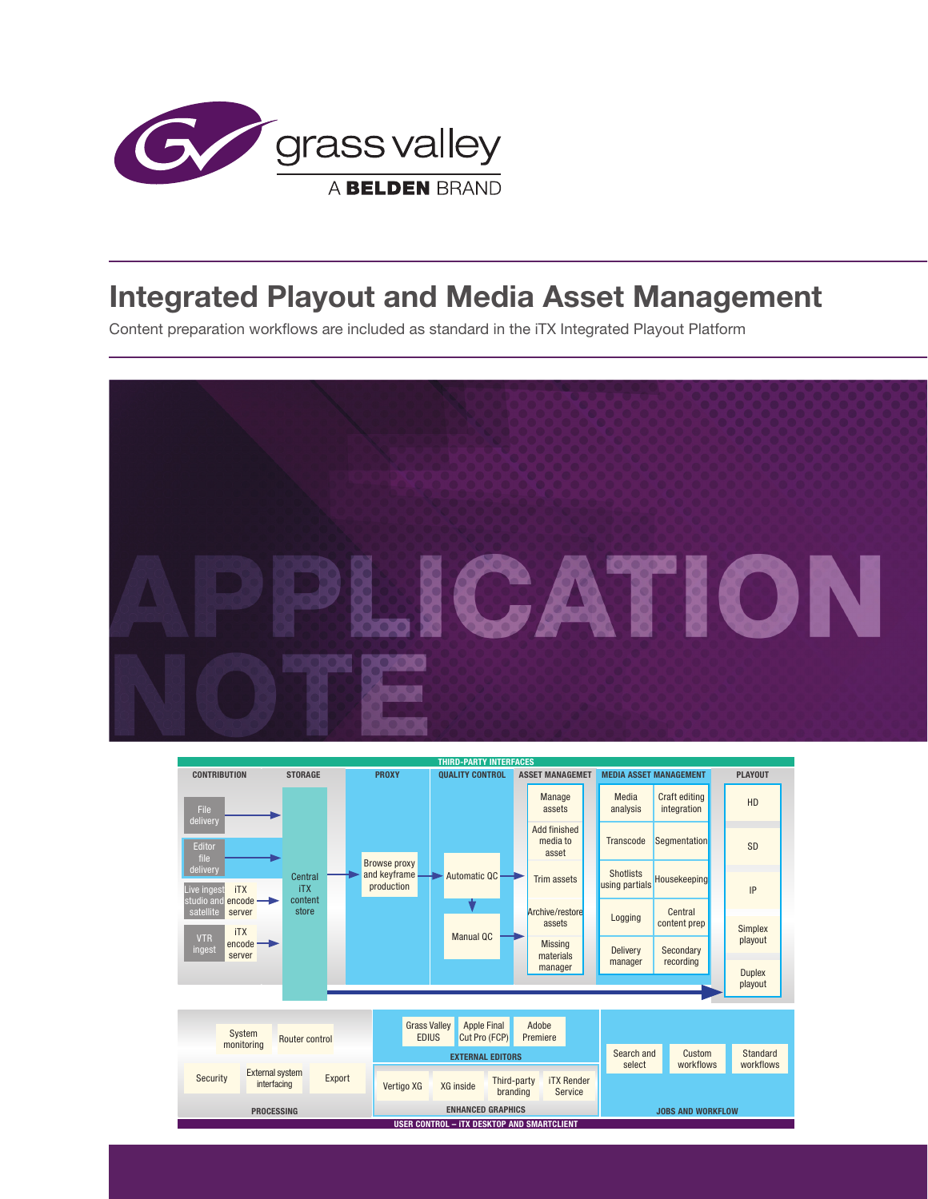

# **Integrated Playout and Media Asset Management**

Content preparation workflows are included as standard in the iTX Integrated Playout Platform



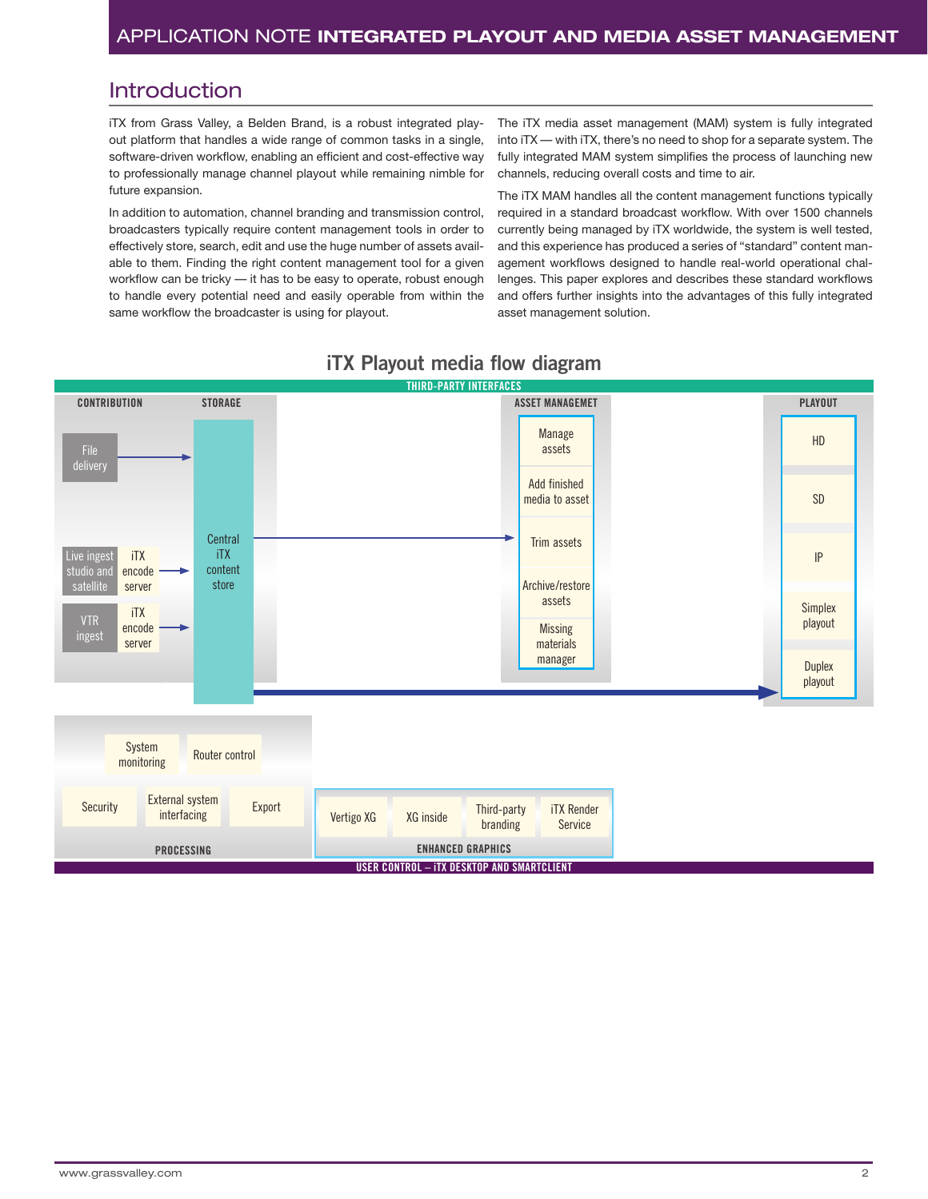### Introduction

iTX from Grass Valley, a Belden Brand, is a robust integrated playout platform that handles a wide range of common tasks in a single, software-driven workflow, enabling an efficient and cost-effective way to professionally manage channel playout while remaining nimble for future expansion.

In addition to automation, channel branding and transmission control, broadcasters typically require content management tools in order to effectively store, search, edit and use the huge number of assets available to them. Finding the right content management tool for a given workflow can be tricky — it has to be easy to operate, robust enough to handle every potential need and easily operable from within the same workflow the broadcaster is using for playout.

The iTX media asset management (MAM) system is fully integrated into iTX — with iTX, there's no need to shop for a separate system. The fully integrated MAM system simplifies the process of launching new channels, reducing overall costs and time to air.

The iTX MAM handles all the content management functions typically required in a standard broadcast workflow. With over 1500 channels currently being managed by iTX worldwide, the system is well tested, and this experience has produced a series of "standard" content management workflows designed to handle real-world operational challenges. This paper explores and describes these standard workflows and offers further insights into the advantages of this fully integrated asset management solution.



# **iTX Playout media flow diagram**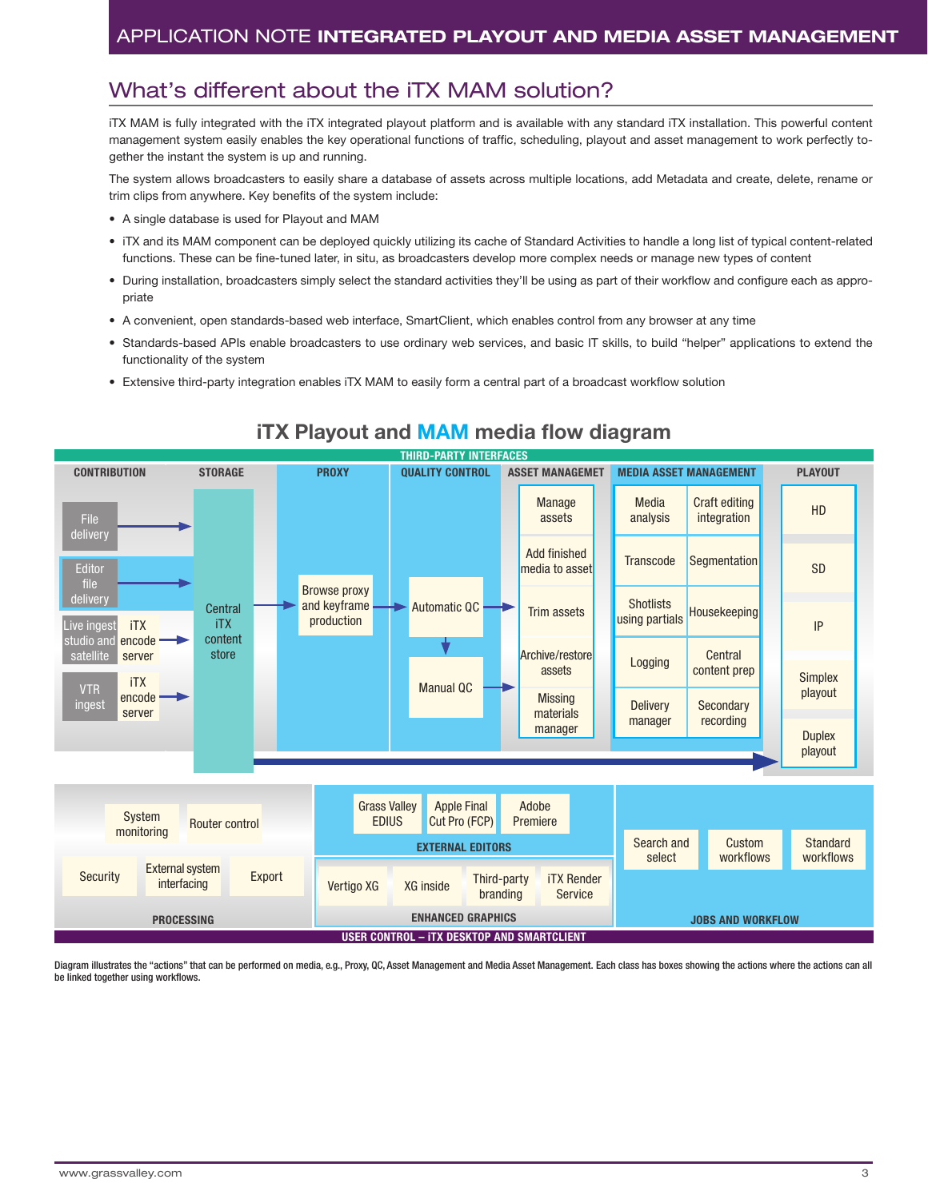# What's different about the iTX MAM solution?

iTX MAM is fully integrated with the iTX integrated playout platform and is available with any standard iTX installation. This powerful content management system easily enables the key operational functions of traffic, scheduling, playout and asset management to work perfectly together the instant the system is up and running.

The system allows broadcasters to easily share a database of assets across multiple locations, add Metadata and create, delete, rename or trim clips from anywhere. Key benefits of the system include:

- A single database is used for Playout and MAM
- iTX and its MAM component can be deployed quickly utilizing its cache of Standard Activities to handle a long list of typical content-related functions. These can be fine-tuned later, in situ, as broadcasters develop more complex needs or manage new types of content
- During installation, broadcasters simply select the standard activities they'll be using as part of their workflow and configure each as appropriate
- A convenient, open standards-based web interface, SmartClient, which enables control from any browser at any time
- Standards-based APIs enable broadcasters to use ordinary web services, and basic IT skills, to build "helper" applications to extend the functionality of the system
- Extensive third-party integration enables iTX MAM to easily form a central part of a broadcast workflow solution



### **iTX Playout and MAM media flow diagram**

Diagram illustrates the "actions" that can be performed on media, e.g., Proxy, QC, Asset Management and Media Asset Management. Each class has boxes showing the actions where the actions can all be linked together using workflows.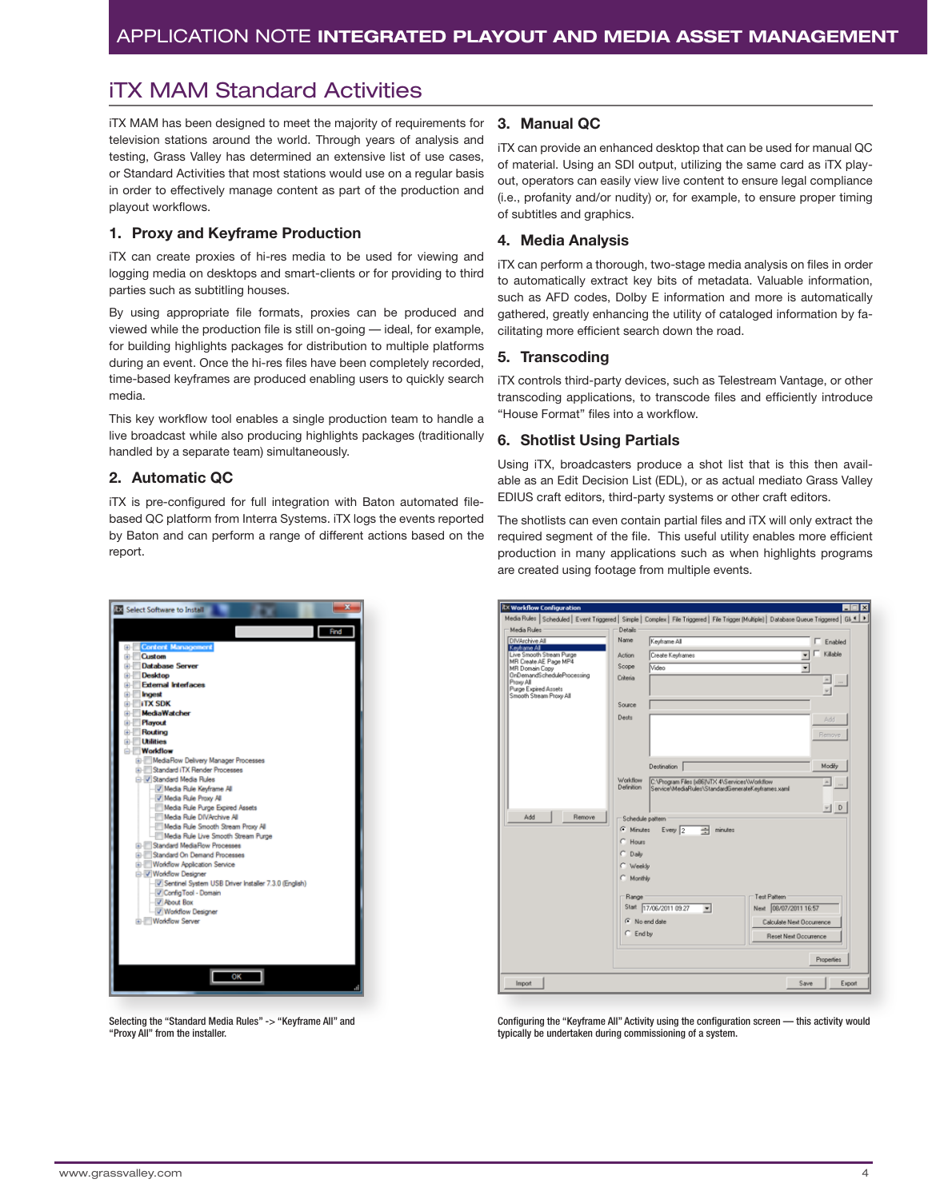# iTX MAM Standard Activities

iTX MAM has been designed to meet the majority of requirements for television stations around the world. Through years of analysis and testing, Grass Valley has determined an extensive list of use cases, or Standard Activities that most stations would use on a regular basis in order to effectively manage content as part of the production and playout workflows.

### **1. Proxy and Keyframe Production**

iTX can create proxies of hi-res media to be used for viewing and logging media on desktops and smart-clients or for providing to third parties such as subtitling houses.

By using appropriate file formats, proxies can be produced and viewed while the production file is still on-going — ideal, for example, for building highlights packages for distribution to multiple platforms during an event. Once the hi-res files have been completely recorded, time-based keyframes are produced enabling users to quickly search media.

This key workflow tool enables a single production team to handle a live broadcast while also producing highlights packages (traditionally handled by a separate team) simultaneously.

#### **2. Automatic QC**

iTX is pre-configured for full integration with Baton automated filebased QC platform from Interra Systems. iTX logs the events reported by Baton and can perform a range of different actions based on the report.



Selecting the "Standard Media Rules" -> "Keyframe All" and "Proxy All" from the installer.

### **3. Manual QC**

iTX can provide an enhanced desktop that can be used for manual QC of material. Using an SDI output, utilizing the same card as iTX playout, operators can easily view live content to ensure legal compliance (i.e., profanity and/or nudity) or, for example, to ensure proper timing of subtitles and graphics.

#### **4. Media Analysis**

iTX can perform a thorough, two-stage media analysis on files in order to automatically extract key bits of metadata. Valuable information, such as AFD codes, Dolby E information and more is automatically gathered, greatly enhancing the utility of cataloged information by facilitating more efficient search down the road.

### **5. Transcoding**

iTX controls third-party devices, such as Telestream Vantage, or other transcoding applications, to transcode files and efficiently introduce "House Format" files into a workflow.

#### **6. Shotlist Using Partials**

Using iTX, broadcasters produce a shot list that is this then available as an Edit Decision List (EDL), or as actual mediato Grass Valley EDIUS craft editors, third-party systems or other craft editors.

The shotlists can even contain partial files and iTX will only extract the required segment of the file. This useful utility enables more efficient production in many applications such as when highlights programs are created using footage from multiple events.

| <b>Itx Workflow Configuration</b>                                                                                                                                                 |                                                                                                                                                                               |
|-----------------------------------------------------------------------------------------------------------------------------------------------------------------------------------|-------------------------------------------------------------------------------------------------------------------------------------------------------------------------------|
| Media Rules                                                                                                                                                                       | Media Rules   Scheduled   Event Triggered   Simple   Complex   File Triggered   File Trigger (Multiple)   Database Queue Triggered   Gi. 4   ><br>Details                     |
| DIVArchive All                                                                                                                                                                    | Name<br>Keyframe All<br>$\Gamma$ Enabled                                                                                                                                      |
| Keyframe All<br>Live Smooth Stream Purge<br>MR Create AE Page MP4<br>MR Domain Copy<br>OnDemandScheduleProcessing<br>Proxy All<br>Purge Expired Assets<br>Smooth Stream Proxy All | Killable                                                                                                                                                                      |
|                                                                                                                                                                                   | Create Keyframes<br>Action                                                                                                                                                    |
|                                                                                                                                                                                   | Scope<br>Video<br>٠<br>Criteria                                                                                                                                               |
|                                                                                                                                                                                   |                                                                                                                                                                               |
|                                                                                                                                                                                   | Source                                                                                                                                                                        |
|                                                                                                                                                                                   | <b>Dests</b><br>Add                                                                                                                                                           |
|                                                                                                                                                                                   | <b>Remove</b>                                                                                                                                                                 |
|                                                                                                                                                                                   |                                                                                                                                                                               |
|                                                                                                                                                                                   | Modify<br><b>Destination</b>                                                                                                                                                  |
|                                                                                                                                                                                   | Workflow<br>C:\Program Files [x86]\iTX 4\Services\Workflow<br>$\blacktriangle$<br>$\overline{\phantom{a}}$<br>Definition<br>Service\MediaRules\StandardGenerateKevframes.xaml |
|                                                                                                                                                                                   | $-1$ D                                                                                                                                                                        |
| Add<br>Remove                                                                                                                                                                     | Schedule pattern                                                                                                                                                              |
|                                                                                                                                                                                   | G Minutes<br>곡<br>Every $\sqrt{2}$<br>minutes                                                                                                                                 |
|                                                                                                                                                                                   | $C$ Hours                                                                                                                                                                     |
|                                                                                                                                                                                   | Daily<br>n                                                                                                                                                                    |
|                                                                                                                                                                                   | C Weekly                                                                                                                                                                      |
|                                                                                                                                                                                   | C Monthly                                                                                                                                                                     |
|                                                                                                                                                                                   | Test Pattern<br>Range                                                                                                                                                         |
|                                                                                                                                                                                   | Start 17/06/2011 09:27<br>Next 08/07/2011 16:57<br>×                                                                                                                          |
|                                                                                                                                                                                   | G No end date<br>Calculate Next Occurrence                                                                                                                                    |
|                                                                                                                                                                                   | $C$ End by<br>Reset Next Documence                                                                                                                                            |
|                                                                                                                                                                                   | Properties                                                                                                                                                                    |
| Import                                                                                                                                                                            | Save<br>Export                                                                                                                                                                |

Configuring the "Keyframe All" Activity using the configuration screen — this activity would typically be undertaken during commissioning of a system.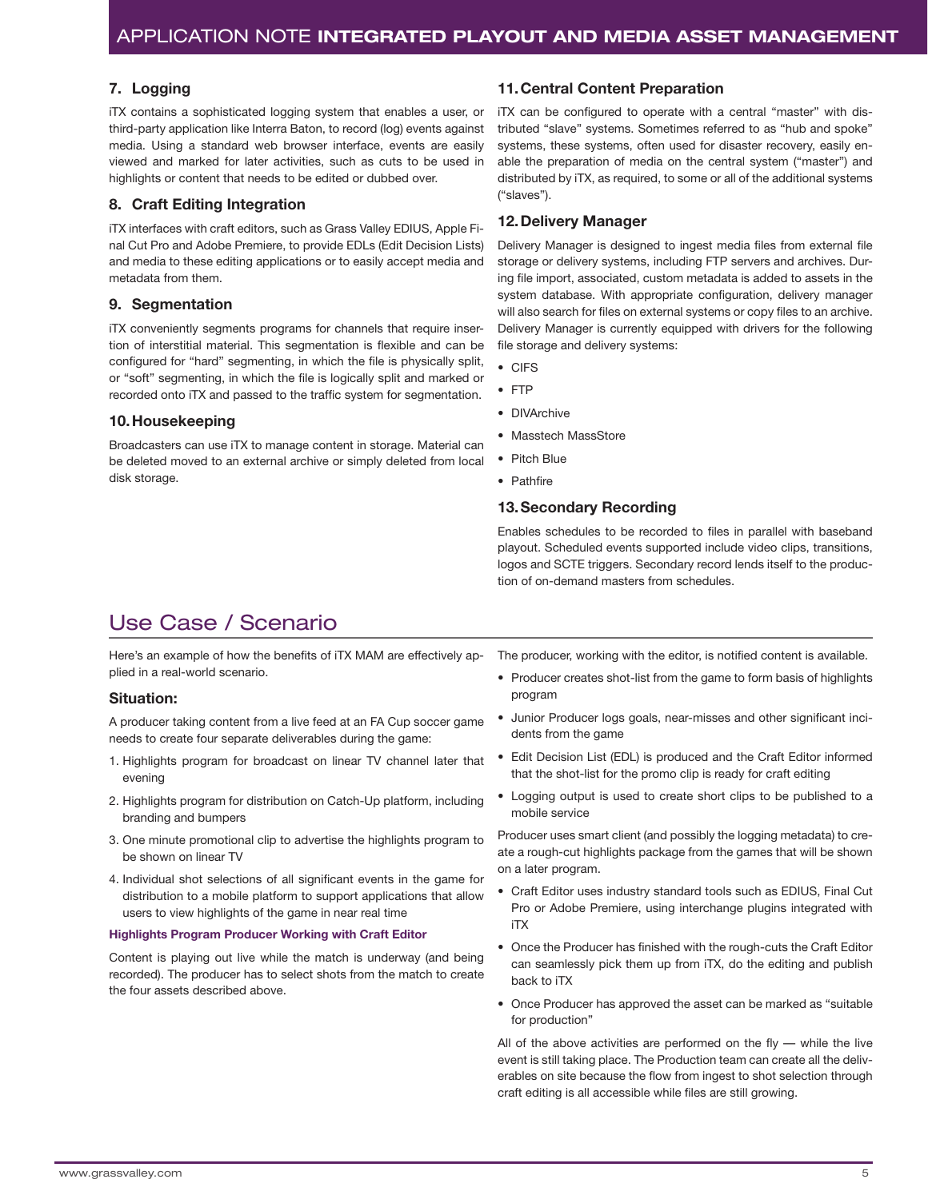#### **7. Logging**

iTX contains a sophisticated logging system that enables a user, or third-party application like Interra Baton, to record (log) events against media. Using a standard web browser interface, events are easily viewed and marked for later activities, such as cuts to be used in highlights or content that needs to be edited or dubbed over.

### **8. Craft Editing Integration**

iTX interfaces with craft editors, such as Grass Valley EDIUS, Apple Final Cut Pro and Adobe Premiere, to provide EDLs (Edit Decision Lists) and media to these editing applications or to easily accept media and metadata from them.

#### **9. Segmentation**

iTX conveniently segments programs for channels that require insertion of interstitial material. This segmentation is flexible and can be configured for "hard" segmenting, in which the file is physically split, or "soft" segmenting, in which the file is logically split and marked or recorded onto iTX and passed to the traffic system for segmentation.

#### **10.Housekeeping**

Broadcasters can use iTX to manage content in storage. Material can be deleted moved to an external archive or simply deleted from local disk storage.

#### **11.Central Content Preparation**

iTX can be configured to operate with a central "master" with distributed "slave" systems. Sometimes referred to as "hub and spoke" systems, these systems, often used for disaster recovery, easily enable the preparation of media on the central system ("master") and distributed by iTX, as required, to some or all of the additional systems ("slaves").

#### **12.Delivery Manager**

Delivery Manager is designed to ingest media files from external file storage or delivery systems, including FTP servers and archives. During file import, associated, custom metadata is added to assets in the system database. With appropriate configuration, delivery manager will also search for files on external systems or copy files to an archive. Delivery Manager is currently equipped with drivers for the following file storage and delivery systems:

- CIFS
- FTP
- DIVArchive
- Masstech MassStore
- Pitch Blue
- Pathfire

#### **13.Secondary Recording**

Enables schedules to be recorded to files in parallel with baseband playout. Scheduled events supported include video clips, transitions, logos and SCTE triggers. Secondary record lends itself to the production of on-demand masters from schedules.

# Use Case / Scenario

Here's an example of how the benefits of iTX MAM are effectively applied in a real-world scenario.

#### **Situation:**

A producer taking content from a live feed at an FA Cup soccer game needs to create four separate deliverables during the game:

- 1. Highlights program for broadcast on linear TV channel later that evening
- 2. Highlights program for distribution on Catch-Up platform, including branding and bumpers
- 3. One minute promotional clip to advertise the highlights program to be shown on linear TV
- 4. Individual shot selections of all significant events in the game for distribution to a mobile platform to support applications that allow users to view highlights of the game in near real time

#### **Highlights Program Producer Working with Craft Editor**

Content is playing out live while the match is underway (and being recorded). The producer has to select shots from the match to create the four assets described above.

The producer, working with the editor, is notified content is available.

- Producer creates shot-list from the game to form basis of highlights program
- Junior Producer logs goals, near-misses and other significant incidents from the game
- Edit Decision List (EDL) is produced and the Craft Editor informed that the shot-list for the promo clip is ready for craft editing
- Logging output is used to create short clips to be published to a mobile service

Producer uses smart client (and possibly the logging metadata) to create a rough-cut highlights package from the games that will be shown on a later program.

- Craft Editor uses industry standard tools such as EDIUS, Final Cut Pro or Adobe Premiere, using interchange plugins integrated with iTX
- Once the Producer has finished with the rough-cuts the Craft Editor can seamlessly pick them up from iTX, do the editing and publish back to iTX
- Once Producer has approved the asset can be marked as "suitable for production"

All of the above activities are performed on the fly  $-$  while the live event is still taking place. The Production team can create all the deliverables on site because the flow from ingest to shot selection through craft editing is all accessible while files are still growing.